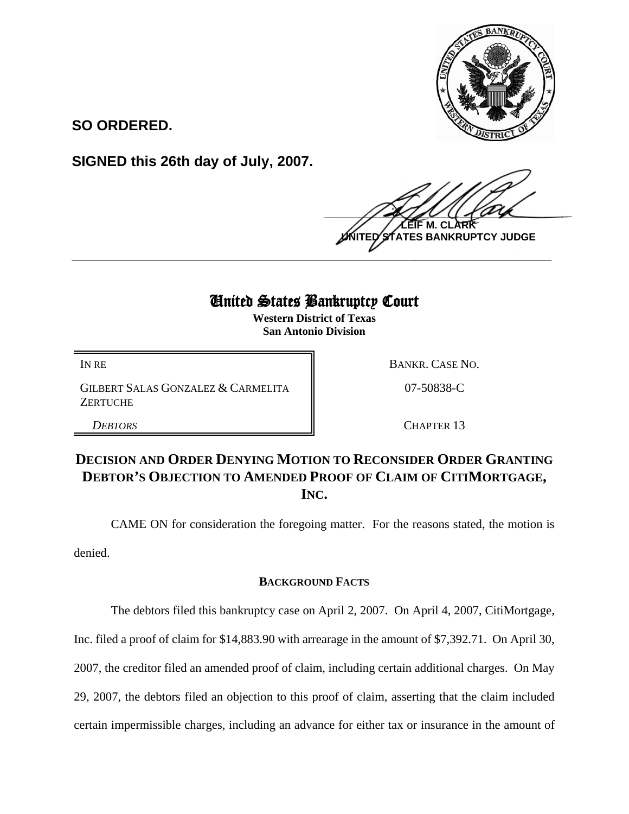

**SO ORDERED.**

**SIGNED this 26th day of July, 2007.**

 $\frac{1}{2}$ **M. NTES BANKRUPTCY JUDGE** 

# United States Bankruptcy Court

**\_\_\_\_\_\_\_\_\_\_\_\_\_\_\_\_\_\_\_\_\_\_\_\_\_\_\_\_\_\_\_\_\_\_\_\_\_\_\_\_\_\_\_\_\_\_\_\_\_\_\_\_\_\_\_\_\_\_\_\_**

**Western District of Texas San Antonio Division**

GILBERT SALAS GONZALEZ & CARMELITA **ZERTUCHE** 

IN RE BANKR. CASE NO.

07-50838-C

*DEBTORS* CHAPTER 13

## **DECISION AND ORDER DENYING MOTION TO RECONSIDER ORDER GRANTING DEBTOR'S OBJECTION TO AMENDED PROOF OF CLAIM OF CITIMORTGAGE, INC.**

CAME ON for consideration the foregoing matter. For the reasons stated, the motion is denied.

## **BACKGROUND FACTS**

The debtors filed this bankruptcy case on April 2, 2007. On April 4, 2007, CitiMortgage,

Inc. filed a proof of claim for \$14,883.90 with arrearage in the amount of \$7,392.71. On April 30,

2007, the creditor filed an amended proof of claim, including certain additional charges. On May

29, 2007, the debtors filed an objection to this proof of claim, asserting that the claim included

certain impermissible charges, including an advance for either tax or insurance in the amount of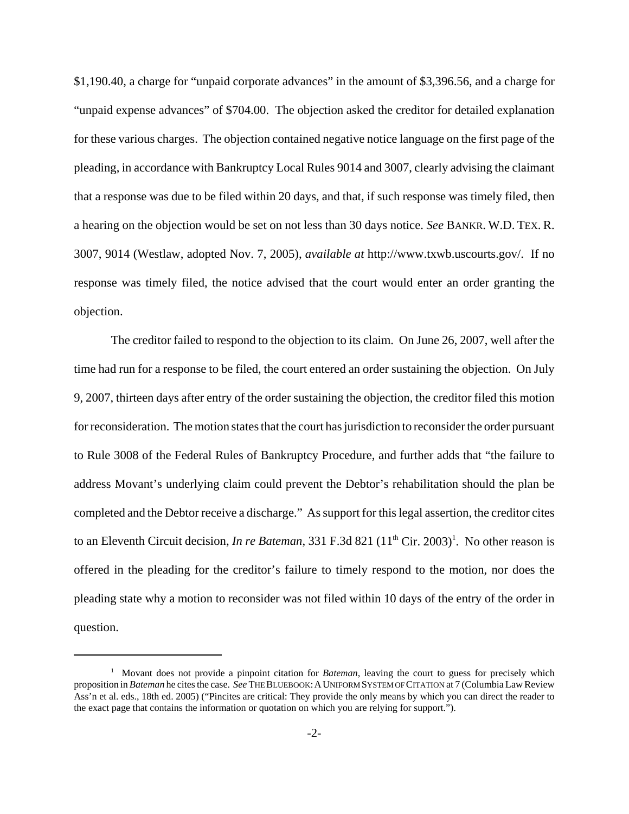\$1,190.40, a charge for "unpaid corporate advances" in the amount of \$3,396.56, and a charge for "unpaid expense advances" of \$704.00. The objection asked the creditor for detailed explanation for these various charges. The objection contained negative notice language on the first page of the pleading, in accordance with Bankruptcy Local Rules 9014 and 3007, clearly advising the claimant that a response was due to be filed within 20 days, and that, if such response was timely filed, then a hearing on the objection would be set on not less than 30 days notice. *See* BANKR. W.D. TEX. R. 3007, 9014 (Westlaw, adopted Nov. 7, 2005), *available at* http://www.txwb.uscourts.gov/. If no response was timely filed, the notice advised that the court would enter an order granting the objection.

The creditor failed to respond to the objection to its claim. On June 26, 2007, well after the time had run for a response to be filed, the court entered an order sustaining the objection. On July 9, 2007, thirteen days after entry of the order sustaining the objection, the creditor filed this motion for reconsideration. The motion states that the court has jurisdiction to reconsider the order pursuant to Rule 3008 of the Federal Rules of Bankruptcy Procedure, and further adds that "the failure to address Movant's underlying claim could prevent the Debtor's rehabilitation should the plan be completed and the Debtor receive a discharge." As support for this legal assertion, the creditor cites to an Eleventh Circuit decision, *In re Bateman*, 331 F.3d 821 (11<sup>th</sup> Cir. 2003)<sup>1</sup>. No other reason is offered in the pleading for the creditor's failure to timely respond to the motion, nor does the pleading state why a motion to reconsider was not filed within 10 days of the entry of the order in question.

<sup>&</sup>lt;sup>1</sup> Movant does not provide a pinpoint citation for *Bateman*, leaving the court to guess for precisely which proposition in *Bateman* he cites the case. *See* THE BLUEBOOK:AUNIFORM SYSTEM OF CITATION at 7 (Columbia Law Review Ass'n et al. eds., 18th ed. 2005) ("Pincites are critical: They provide the only means by which you can direct the reader to the exact page that contains the information or quotation on which you are relying for support.").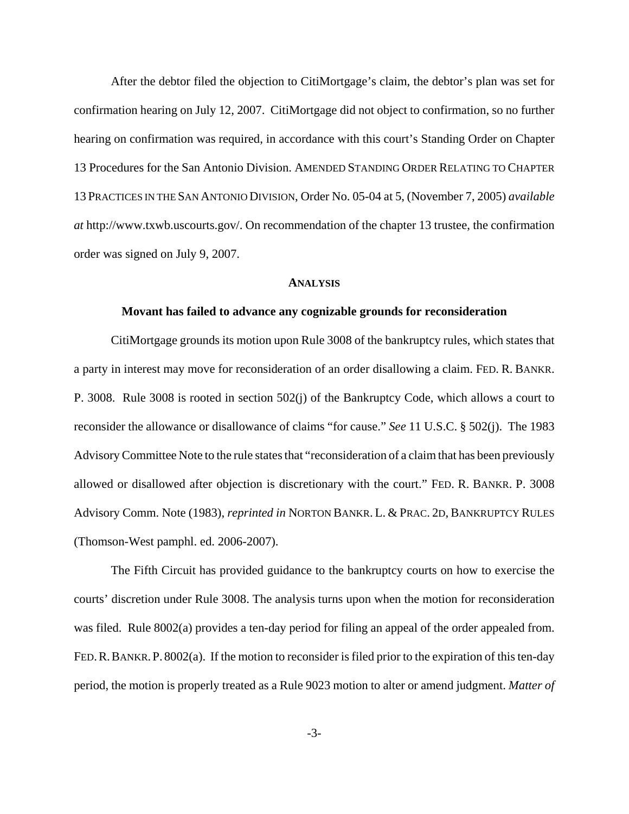After the debtor filed the objection to CitiMortgage's claim, the debtor's plan was set for confirmation hearing on July 12, 2007. CitiMortgage did not object to confirmation, so no further hearing on confirmation was required, in accordance with this court's Standing Order on Chapter 13 Procedures for the San Antonio Division. AMENDED STANDING ORDER RELATING TO CHAPTER 13 PRACTICES IN THE SAN ANTONIO DIVISION, Order No. 05-04 at 5, (November 7, 2005) *available at* http://www.txwb.uscourts.gov/. On recommendation of the chapter 13 trustee, the confirmation order was signed on July 9, 2007.

#### **ANALYSIS**

#### **Movant has failed to advance any cognizable grounds for reconsideration**

CitiMortgage grounds its motion upon Rule 3008 of the bankruptcy rules, which states that a party in interest may move for reconsideration of an order disallowing a claim. FED. R. BANKR. P. 3008. Rule 3008 is rooted in section 502(j) of the Bankruptcy Code, which allows a court to reconsider the allowance or disallowance of claims "for cause." *See* 11 U.S.C. § 502(j). The 1983 Advisory Committee Note to the rule states that "reconsideration of a claim that has been previously allowed or disallowed after objection is discretionary with the court." FED. R. BANKR. P. 3008 Advisory Comm. Note (1983), *reprinted in* NORTON BANKR. L. & PRAC. 2D, BANKRUPTCY RULES (Thomson-West pamphl. ed. 2006-2007).

The Fifth Circuit has provided guidance to the bankruptcy courts on how to exercise the courts' discretion under Rule 3008. The analysis turns upon when the motion for reconsideration was filed. Rule 8002(a) provides a ten-day period for filing an appeal of the order appealed from. FED.R.BANKR.P. 8002(a). If the motion to reconsider is filed prior to the expiration of this ten-day period, the motion is properly treated as a Rule 9023 motion to alter or amend judgment. *Matter of*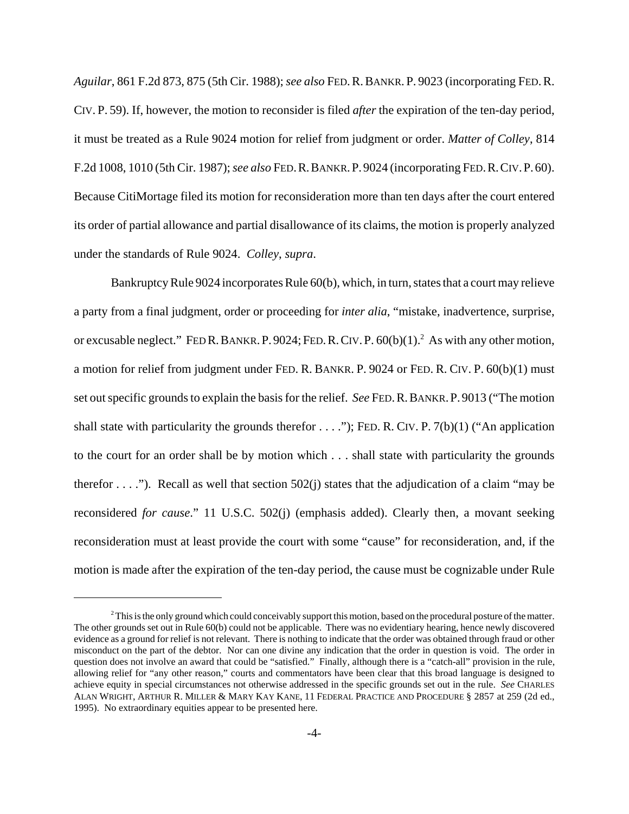*Aguilar*, 861 F.2d 873, 875 (5th Cir. 1988); *see also* FED.R.BANKR. P. 9023 (incorporating FED.R. CIV. P. 59). If, however, the motion to reconsider is filed *after* the expiration of the ten-day period, it must be treated as a Rule 9024 motion for relief from judgment or order. *Matter of Colley*, 814 F.2d 1008, 1010 (5th Cir. 1987); *see also* FED.R.BANKR.P. 9024 (incorporating FED.R.CIV.P. 60). Because CitiMortage filed its motion for reconsideration more than ten days after the court entered its order of partial allowance and partial disallowance of its claims, the motion is properly analyzed under the standards of Rule 9024. *Colley*, *supra*.

Bankruptcy Rule 9024 incorporates Rule 60(b), which, in turn, states that a court may relieve a party from a final judgment, order or proceeding for *inter alia*, "mistake, inadvertence, surprise, or excusable neglect." FED R. BANKR. P. 9024; FED. R. CIV. P.  $60(b)(1)$ .<sup>2</sup> As with any other motion, a motion for relief from judgment under FED. R. BANKR. P. 9024 or FED. R. CIV. P. 60(b)(1) must set out specific grounds to explain the basis for the relief. *See* FED.R.BANKR.P. 9013 ("The motion shall state with particularity the grounds therefor  $\dots$ ."); FED. R. CIV. P. 7(b)(1) ("An application to the court for an order shall be by motion which . . . shall state with particularity the grounds therefor  $\dots$ ."). Recall as well that section 502(j) states that the adjudication of a claim "may be reconsidered *for cause*." 11 U.S.C. 502(j) (emphasis added). Clearly then, a movant seeking reconsideration must at least provide the court with some "cause" for reconsideration, and, if the motion is made after the expiration of the ten-day period, the cause must be cognizable under Rule

 $<sup>2</sup>$  This is the only ground which could conceivably support this motion, based on the procedural posture of the matter.</sup> The other grounds set out in Rule 60(b) could not be applicable. There was no evidentiary hearing, hence newly discovered evidence as a ground for relief is not relevant. There is nothing to indicate that the order was obtained through fraud or other misconduct on the part of the debtor. Nor can one divine any indication that the order in question is void. The order in question does not involve an award that could be "satisfied." Finally, although there is a "catch-all" provision in the rule, allowing relief for "any other reason," courts and commentators have been clear that this broad language is designed to achieve equity in special circumstances not otherwise addressed in the specific grounds set out in the rule. *See* CHARLES ALAN WRIGHT, ARTHUR R. MILLER & MARY KAY KANE, 11 FEDERAL PRACTICE AND PROCEDURE § 2857 at 259 (2d ed., 1995). No extraordinary equities appear to be presented here.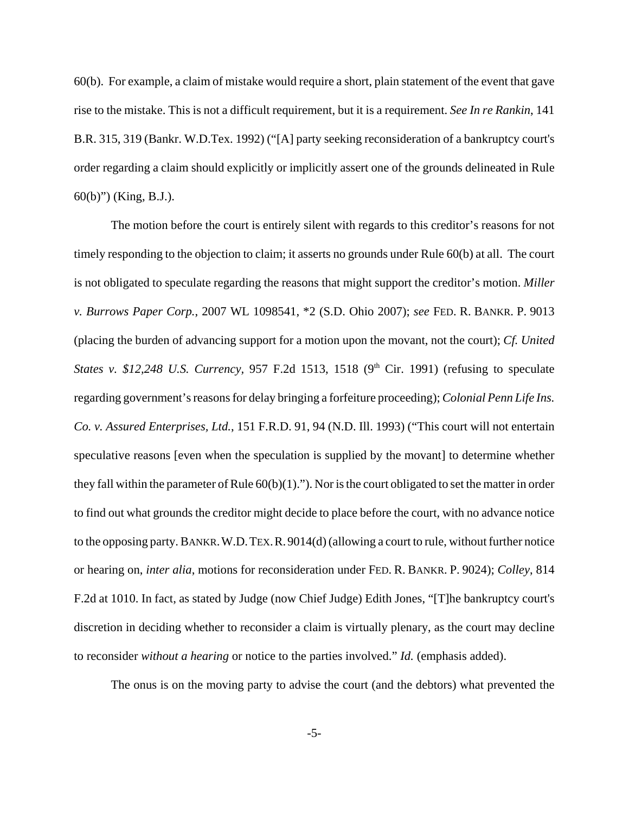60(b). For example, a claim of mistake would require a short, plain statement of the event that gave rise to the mistake. This is not a difficult requirement, but it is a requirement. *See In re Rankin*, 141 B.R. 315, 319 (Bankr. W.D.Tex. 1992) ("[A] party seeking reconsideration of a bankruptcy court's order regarding a claim should explicitly or implicitly assert one of the grounds delineated in Rule 60(b)") (King, B.J.).

The motion before the court is entirely silent with regards to this creditor's reasons for not timely responding to the objection to claim; it asserts no grounds under Rule 60(b) at all. The court is not obligated to speculate regarding the reasons that might support the creditor's motion. *Miller v. Burrows Paper Corp.*, 2007 WL 1098541, \*2 (S.D. Ohio 2007); *see* FED. R. BANKR. P. 9013 (placing the burden of advancing support for a motion upon the movant, not the court); *Cf. United States v. \$12,248 U.S. Currency, 957 F.2d 1513, 1518 (9<sup>th</sup> Cir. 1991) (refusing to speculate* regarding government's reasons for delay bringing a forfeiture proceeding); *Colonial Penn Life Ins. Co. v. Assured Enterprises, Ltd.*, 151 F.R.D. 91, 94 (N.D. Ill. 1993) ("This court will not entertain speculative reasons [even when the speculation is supplied by the movant] to determine whether they fall within the parameter of Rule  $60(b)(1)$ ."). Nor is the court obligated to set the matter in order to find out what grounds the creditor might decide to place before the court, with no advance notice to the opposing party. BANKR.W.D.TEX.R.9014(d) (allowing a court to rule, without further notice or hearing on, *inter alia*, motions for reconsideration under FED. R. BANKR. P. 9024); *Colley*, 814 F.2d at 1010. In fact, as stated by Judge (now Chief Judge) Edith Jones, "[T]he bankruptcy court's discretion in deciding whether to reconsider a claim is virtually plenary, as the court may decline to reconsider *without a hearing* or notice to the parties involved." *Id.* (emphasis added).

The onus is on the moving party to advise the court (and the debtors) what prevented the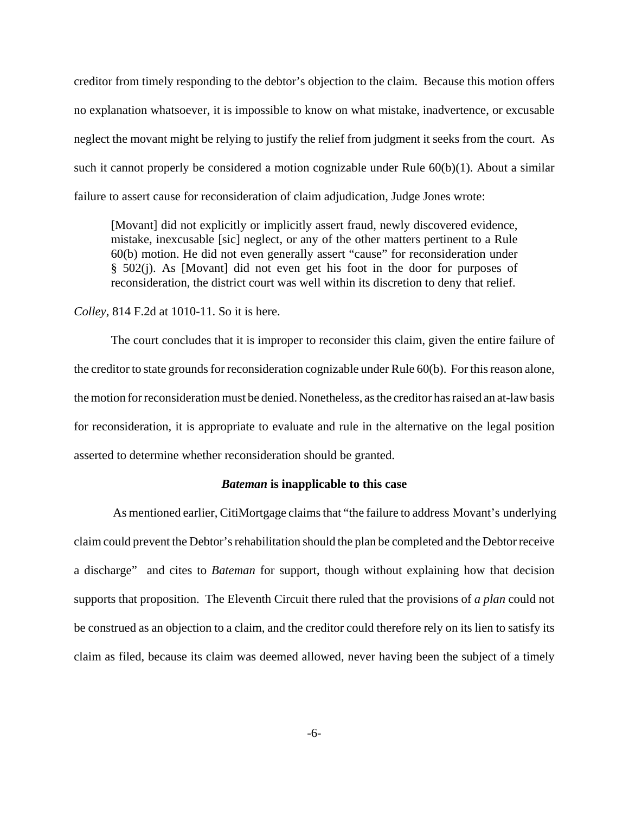creditor from timely responding to the debtor's objection to the claim. Because this motion offers no explanation whatsoever, it is impossible to know on what mistake, inadvertence, or excusable neglect the movant might be relying to justify the relief from judgment it seeks from the court. As such it cannot properly be considered a motion cognizable under Rule 60(b)(1). About a similar failure to assert cause for reconsideration of claim adjudication, Judge Jones wrote:

[Movant] did not explicitly or implicitly assert fraud, newly discovered evidence, mistake, inexcusable [sic] neglect, or any of the other matters pertinent to a Rule 60(b) motion. He did not even generally assert "cause" for reconsideration under § 502(j). As [Movant] did not even get his foot in the door for purposes of reconsideration, the district court was well within its discretion to deny that relief.

#### *Colley*, 814 F.2d at 1010-11. So it is here.

The court concludes that it is improper to reconsider this claim, given the entire failure of the creditor to state grounds for reconsideration cognizable under Rule 60(b). For this reason alone, the motion for reconsideration must be denied. Nonetheless, as the creditor has raised an at-law basis for reconsideration, it is appropriate to evaluate and rule in the alternative on the legal position asserted to determine whether reconsideration should be granted.

#### *Bateman* **is inapplicable to this case**

 As mentioned earlier, CitiMortgage claims that "the failure to address Movant's underlying claim could prevent the Debtor's rehabilitation should the plan be completed and the Debtor receive a discharge" and cites to *Bateman* for support, though without explaining how that decision supports that proposition. The Eleventh Circuit there ruled that the provisions of *a plan* could not be construed as an objection to a claim, and the creditor could therefore rely on its lien to satisfy its claim as filed, because its claim was deemed allowed, never having been the subject of a timely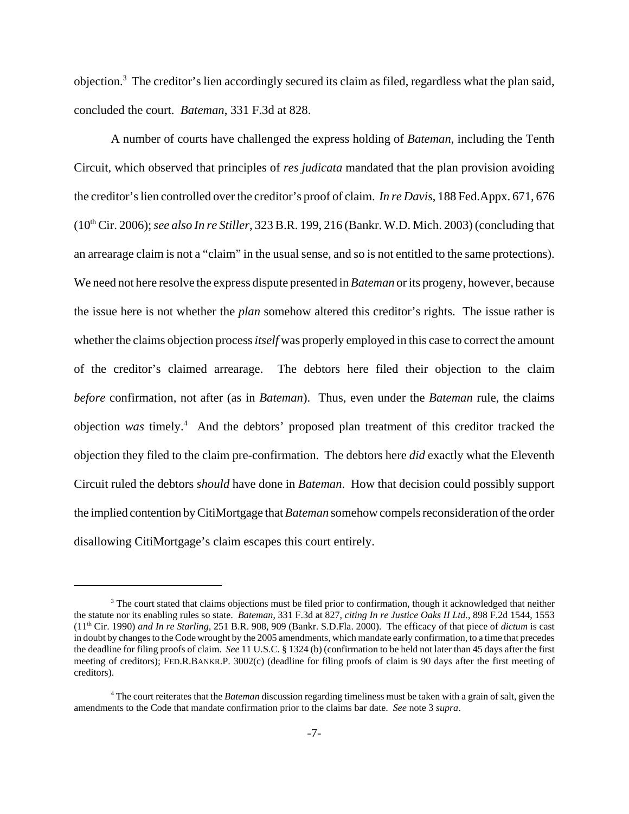objection.<sup>3</sup> The creditor's lien accordingly secured its claim as filed, regardless what the plan said, concluded the court. *Bateman*, 331 F.3d at 828.

A number of courts have challenged the express holding of *Bateman*, including the Tenth Circuit, which observed that principles of *res judicata* mandated that the plan provision avoiding the creditor's lien controlled over the creditor's proof of claim. *In re Davis*, 188 Fed.Appx. 671, 676 (10th Cir. 2006); *see also In re Stiller*, 323 B.R. 199, 216 (Bankr. W.D. Mich. 2003) (concluding that an arrearage claim is not a "claim" in the usual sense, and so is not entitled to the same protections). We need not here resolve the express dispute presented in *Bateman* or its progeny, however, because the issue here is not whether the *plan* somehow altered this creditor's rights. The issue rather is whether the claims objection process *itself* was properly employed in this case to correct the amount of the creditor's claimed arrearage. The debtors here filed their objection to the claim *before* confirmation, not after (as in *Bateman*). Thus, even under the *Bateman* rule, the claims objection *was* timely.4 And the debtors' proposed plan treatment of this creditor tracked the objection they filed to the claim pre-confirmation. The debtors here *did* exactly what the Eleventh Circuit ruled the debtors *should* have done in *Bateman*. How that decision could possibly support the implied contention by CitiMortgage that *Bateman* somehow compels reconsideration of the order disallowing CitiMortgage's claim escapes this court entirely.

<sup>&</sup>lt;sup>3</sup> The court stated that claims objections must be filed prior to confirmation, though it acknowledged that neither the statute nor its enabling rules so state. *Bateman*, 331 F.3d at 827, *citing In re Justice Oaks II Ltd.*, 898 F.2d 1544, 1553 (11th Cir. 1990) *and In re Starling*, 251 B.R. 908, 909 (Bankr. S.D.Fla. 2000). The efficacy of that piece of *dictum* is cast in doubt by changes to the Code wrought by the 2005 amendments, which mandate early confirmation, to a time that precedes the deadline for filing proofs of claim. *See* 11 U.S.C. § 1324 (b) (confirmation to be held not later than 45 days after the first meeting of creditors); FED.R.BANKR.P. 3002(c) (deadline for filing proofs of claim is 90 days after the first meeting of creditors).

<sup>4</sup> The court reiterates that the *Bateman* discussion regarding timeliness must be taken with a grain of salt, given the amendments to the Code that mandate confirmation prior to the claims bar date. *See* note 3 *supra*.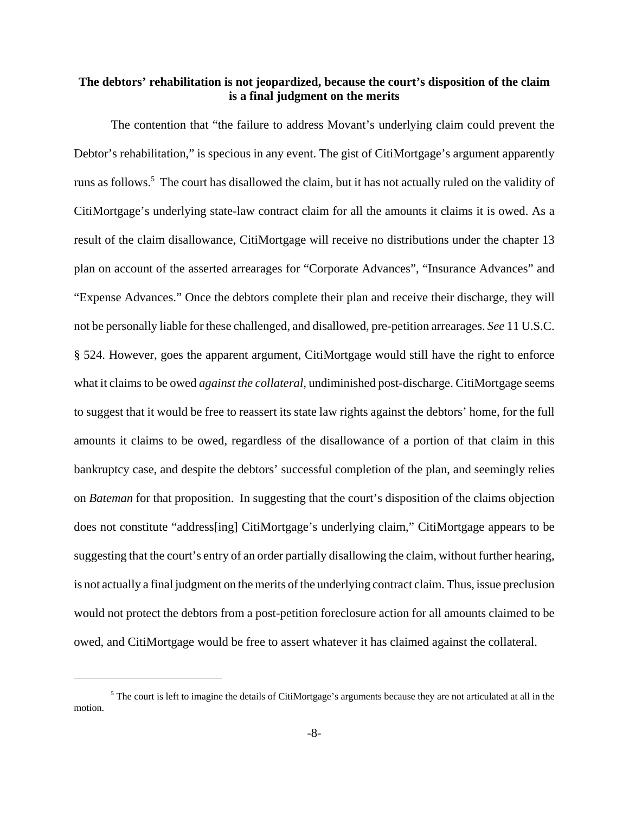### **The debtors' rehabilitation is not jeopardized, because the court's disposition of the claim is a final judgment on the merits**

The contention that "the failure to address Movant's underlying claim could prevent the Debtor's rehabilitation," is specious in any event. The gist of CitiMortgage's argument apparently runs as follows.<sup>5</sup> The court has disallowed the claim, but it has not actually ruled on the validity of CitiMortgage's underlying state-law contract claim for all the amounts it claims it is owed. As a result of the claim disallowance, CitiMortgage will receive no distributions under the chapter 13 plan on account of the asserted arrearages for "Corporate Advances", "Insurance Advances" and "Expense Advances." Once the debtors complete their plan and receive their discharge, they will not be personally liable for these challenged, and disallowed, pre-petition arrearages. *See* 11 U.S.C. § 524. However, goes the apparent argument, CitiMortgage would still have the right to enforce what it claims to be owed *against the collateral,* undiminished post-discharge. CitiMortgage seems to suggest that it would be free to reassert its state law rights against the debtors' home, for the full amounts it claims to be owed, regardless of the disallowance of a portion of that claim in this bankruptcy case, and despite the debtors' successful completion of the plan, and seemingly relies on *Bateman* for that proposition. In suggesting that the court's disposition of the claims objection does not constitute "address[ing] CitiMortgage's underlying claim," CitiMortgage appears to be suggesting that the court's entry of an order partially disallowing the claim, without further hearing, is not actually a final judgment on the merits of the underlying contract claim. Thus, issue preclusion would not protect the debtors from a post-petition foreclosure action for all amounts claimed to be owed, and CitiMortgage would be free to assert whatever it has claimed against the collateral.

<sup>&</sup>lt;sup>5</sup> The court is left to imagine the details of CitiMortgage's arguments because they are not articulated at all in the motion.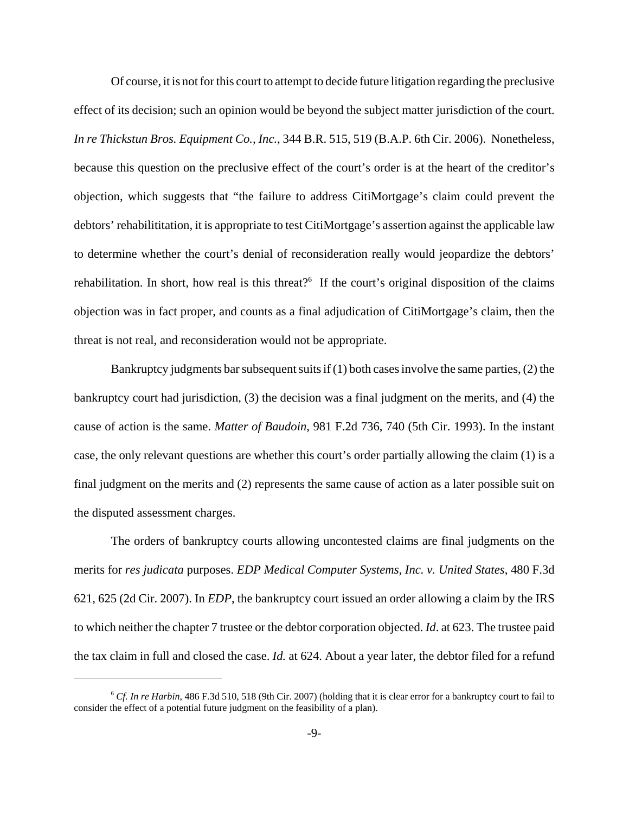Of course, it is not for this court to attempt to decide future litigation regarding the preclusive effect of its decision; such an opinion would be beyond the subject matter jurisdiction of the court. *In re Thickstun Bros. Equipment Co., Inc.*, 344 B.R. 515, 519 (B.A.P. 6th Cir. 2006). Nonetheless, because this question on the preclusive effect of the court's order is at the heart of the creditor's objection, which suggests that "the failure to address CitiMortgage's claim could prevent the debtors' rehabilititation, it is appropriate to test CitiMortgage's assertion against the applicable law to determine whether the court's denial of reconsideration really would jeopardize the debtors' rehabilitation. In short, how real is this threat?<sup>6</sup> If the court's original disposition of the claims objection was in fact proper, and counts as a final adjudication of CitiMortgage's claim, then the threat is not real, and reconsideration would not be appropriate.

Bankruptcy judgments bar subsequent suits if (1) both cases involve the same parties, (2) the bankruptcy court had jurisdiction, (3) the decision was a final judgment on the merits, and (4) the cause of action is the same. *Matter of Baudoin*, 981 F.2d 736, 740 (5th Cir. 1993). In the instant case, the only relevant questions are whether this court's order partially allowing the claim (1) is a final judgment on the merits and (2) represents the same cause of action as a later possible suit on the disputed assessment charges.

The orders of bankruptcy courts allowing uncontested claims are final judgments on the merits for *res judicata* purposes. *EDP Medical Computer Systems, Inc. v. United States*, 480 F.3d 621, 625 (2d Cir. 2007). In *EDP*, the bankruptcy court issued an order allowing a claim by the IRS to which neither the chapter 7 trustee or the debtor corporation objected. *Id*. at 623. The trustee paid the tax claim in full and closed the case. *Id.* at 624. About a year later, the debtor filed for a refund

<sup>6</sup> *Cf. In re Harbin*, 486 F.3d 510, 518 (9th Cir. 2007) (holding that it is clear error for a bankruptcy court to fail to consider the effect of a potential future judgment on the feasibility of a plan).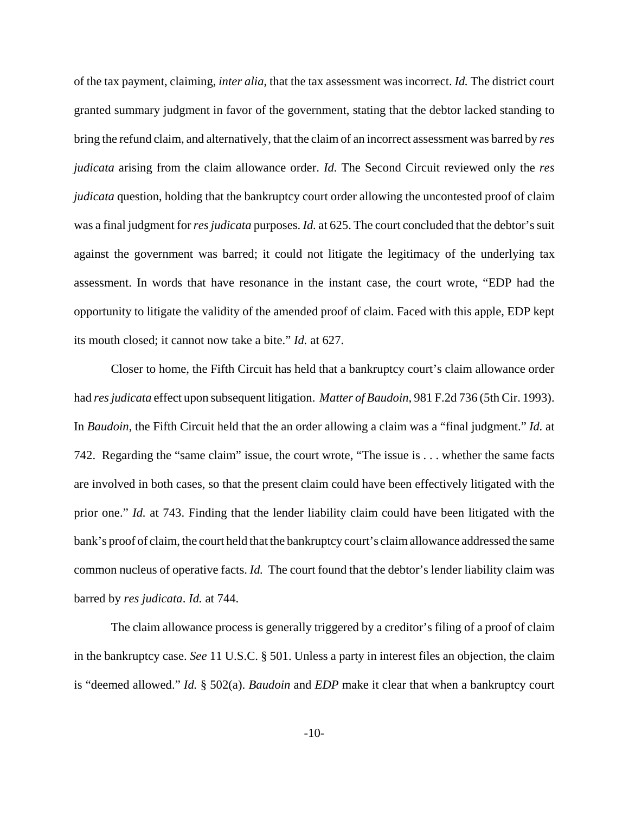of the tax payment, claiming, *inter alia*, that the tax assessment was incorrect. *Id.* The district court granted summary judgment in favor of the government, stating that the debtor lacked standing to bring the refund claim, and alternatively, that the claim of an incorrect assessment was barred by *res judicata* arising from the claim allowance order. *Id.* The Second Circuit reviewed only the *res judicata* question, holding that the bankruptcy court order allowing the uncontested proof of claim was a final judgment for *res judicata* purposes. *Id.* at 625. The court concluded that the debtor's suit against the government was barred; it could not litigate the legitimacy of the underlying tax assessment. In words that have resonance in the instant case, the court wrote, "EDP had the opportunity to litigate the validity of the amended proof of claim. Faced with this apple, EDP kept its mouth closed; it cannot now take a bite." *Id.* at 627.

Closer to home, the Fifth Circuit has held that a bankruptcy court's claim allowance order had *res judicata* effect upon subsequent litigation. *Matter of Baudoin*, 981 F.2d 736 (5th Cir. 1993). In *Baudoin*, the Fifth Circuit held that the an order allowing a claim was a "final judgment." *Id.* at 742. Regarding the "same claim" issue, the court wrote, "The issue is . . . whether the same facts are involved in both cases, so that the present claim could have been effectively litigated with the prior one." *Id.* at 743. Finding that the lender liability claim could have been litigated with the bank's proof of claim, the court held that the bankruptcy court's claim allowance addressed the same common nucleus of operative facts. *Id.* The court found that the debtor's lender liability claim was barred by *res judicata*. *Id.* at 744.

The claim allowance process is generally triggered by a creditor's filing of a proof of claim in the bankruptcy case. *See* 11 U.S.C. § 501. Unless a party in interest files an objection, the claim is "deemed allowed." *Id.* § 502(a). *Baudoin* and *EDP* make it clear that when a bankruptcy court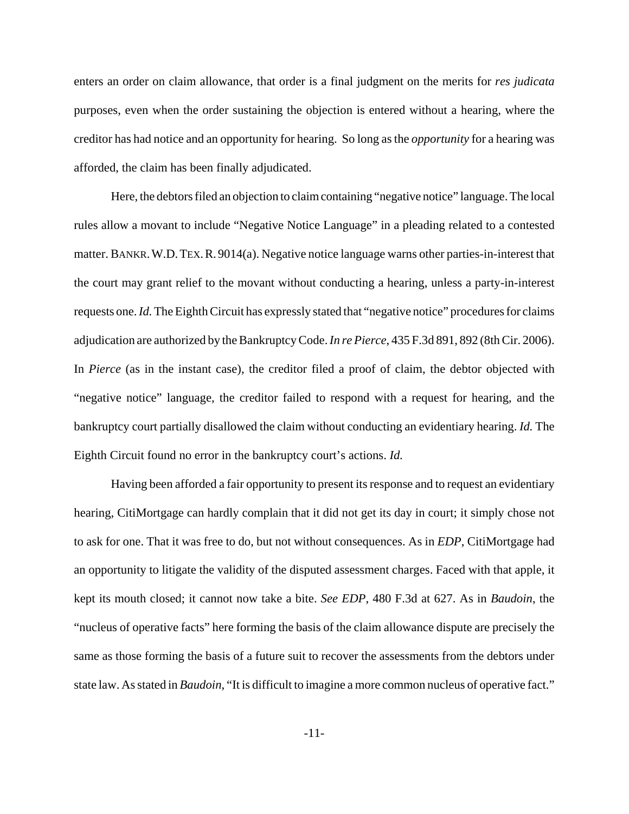enters an order on claim allowance, that order is a final judgment on the merits for *res judicata* purposes, even when the order sustaining the objection is entered without a hearing, where the creditor has had notice and an opportunity for hearing. So long as the *opportunity* for a hearing was afforded, the claim has been finally adjudicated.

Here, the debtors filed an objection to claim containing "negative notice" language. The local rules allow a movant to include "Negative Notice Language" in a pleading related to a contested matter. BANKR.W.D.TEX.R. 9014(a). Negative notice language warns other parties-in-interest that the court may grant relief to the movant without conducting a hearing, unless a party-in-interest requests one. *Id.* The Eighth Circuit has expressly stated that "negative notice" procedures for claims adjudication are authorized by the Bankruptcy Code. *In re Pierce*, 435 F.3d 891, 892 (8th Cir. 2006). In *Pierce* (as in the instant case), the creditor filed a proof of claim, the debtor objected with "negative notice" language, the creditor failed to respond with a request for hearing, and the bankruptcy court partially disallowed the claim without conducting an evidentiary hearing. *Id.* The Eighth Circuit found no error in the bankruptcy court's actions. *Id.*

Having been afforded a fair opportunity to present its response and to request an evidentiary hearing, CitiMortgage can hardly complain that it did not get its day in court; it simply chose not to ask for one. That it was free to do, but not without consequences. As in *EDP*, CitiMortgage had an opportunity to litigate the validity of the disputed assessment charges. Faced with that apple, it kept its mouth closed; it cannot now take a bite. *See EDP*, 480 F.3d at 627. As in *Baudoin*, the "nucleus of operative facts" here forming the basis of the claim allowance dispute are precisely the same as those forming the basis of a future suit to recover the assessments from the debtors under state law. As stated in *Baudoin*, "It is difficult to imagine a more common nucleus of operative fact."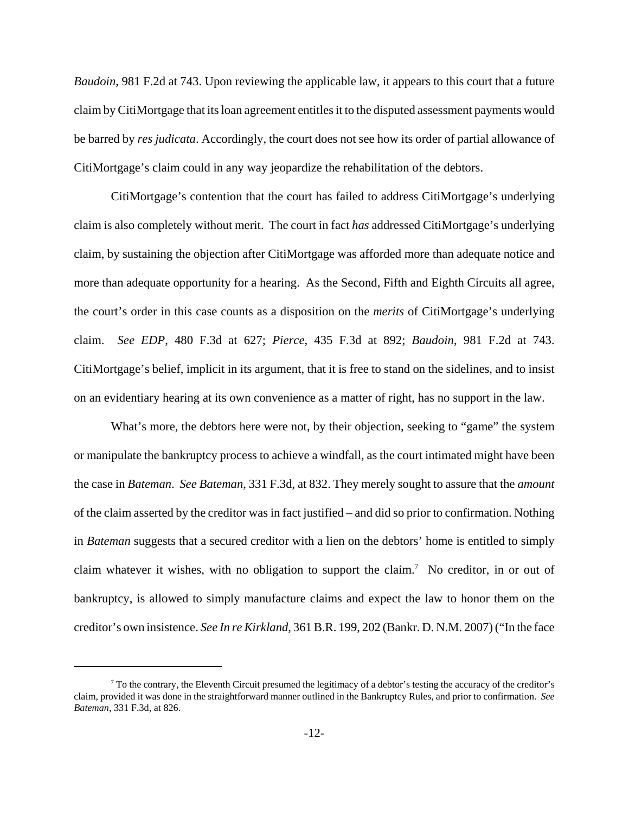*Baudoin*, 981 F.2d at 743. Upon reviewing the applicable law, it appears to this court that a future claim by CitiMortgage that its loan agreement entitles it to the disputed assessment payments would be barred by *res judicata*. Accordingly, the court does not see how its order of partial allowance of CitiMortgage's claim could in any way jeopardize the rehabilitation of the debtors.

CitiMortgage's contention that the court has failed to address CitiMortgage's underlying claim is also completely without merit. The court in fact *has* addressed CitiMortgage's underlying claim, by sustaining the objection after CitiMortgage was afforded more than adequate notice and more than adequate opportunity for a hearing. As the Second, Fifth and Eighth Circuits all agree, the court's order in this case counts as a disposition on the *merits* of CitiMortgage's underlying claim. *See EDP*, 480 F.3d at 627; *Pierce*, 435 F.3d at 892; *Baudoin*, 981 F.2d at 743. CitiMortgage's belief, implicit in its argument, that it is free to stand on the sidelines, and to insist on an evidentiary hearing at its own convenience as a matter of right, has no support in the law.

What's more, the debtors here were not, by their objection, seeking to "game" the system or manipulate the bankruptcy process to achieve a windfall, as the court intimated might have been the case in *Bateman*. *See Bateman*, 331 F.3d, at 832. They merely sought to assure that the *amount* of the claim asserted by the creditor was in fact justified – and did so prior to confirmation. Nothing in *Bateman* suggests that a secured creditor with a lien on the debtors' home is entitled to simply claim whatever it wishes, with no obligation to support the claim.<sup>7</sup> No creditor, in or out of bankruptcy, is allowed to simply manufacture claims and expect the law to honor them on the creditor's own insistence. *See In re Kirkland*, 361 B.R. 199, 202 (Bankr. D. N.M. 2007) ("In the face

 $^7$  To the contrary, the Eleventh Circuit presumed the legitimacy of a debtor's testing the accuracy of the creditor's claim, provided it was done in the straightforward manner outlined in the Bankruptcy Rules, and prior to confirmation. *See Bateman*, 331 F.3d, at 826.